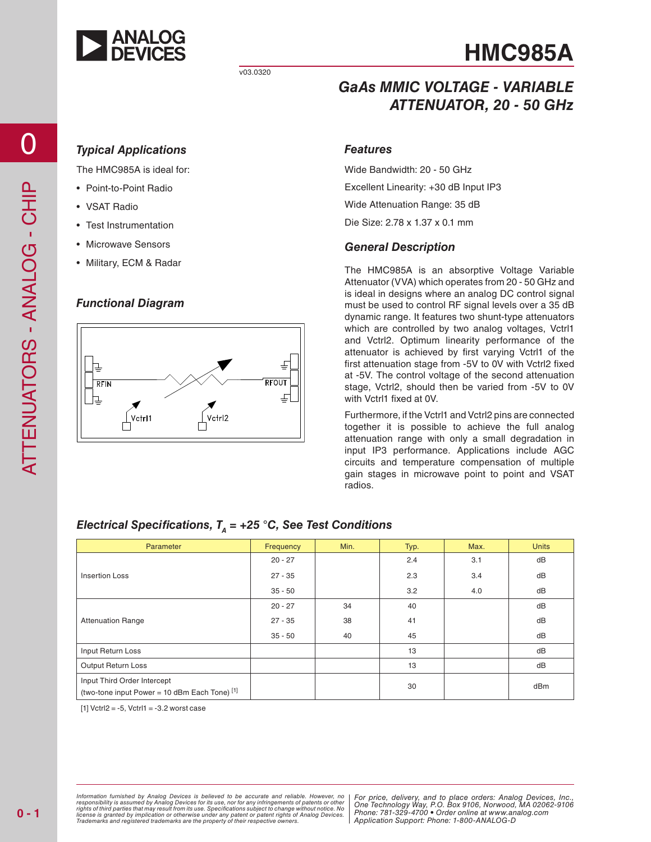

# **HMC985A**

### *GaAs MMIC VOLTAGE - VARIABLE ATTENUATOR, 20 - 50 GHz*

#### *Typical Applications*

The HMC985A is ideal for:

- Point-to-Point Radio
- VSAT Radio
- Test Instrumentation
- Microwave Sensors
- Military, ECM & Radar

#### *Functional Diagram*



#### *Features*

Wide Bandwidth: 20 - 50 GHz Excellent Linearity: +30 dB Input IP3 Wide Attenuation Range: 35 dB Die Size: 2.78 x 1.37 x 0.1 mm

#### *General Description*

The HMC985A is an absorptive Voltage Variable Attenuator (VVA) which operates from 20 - 50 GHz and is ideal in designs where an analog DC control signal must be used to control RF signal levels over a 35 dB dynamic range. It features two shunt-type attenuators which are controlled by two analog voltages, Vctrl1 and Vctrl2. Optimum linearity performance of the attenuator is achieved by first varying Vctrl1 of the first attenuation stage from -5V to 0V with Vctrl2 fixed at -5V. The control voltage of the second attenuation stage, Vctrl2, should then be varied from -5V to 0V with Vctrl1 fixed at 0V.

Furthermore, if the Vctrl1 and Vctrl2 pins are connected together it is possible to achieve the full analog attenuation range with only a small degradation in input IP3 performance. Applications include AGC circuits and temperature compensation of multiple gain stages in microwave point to point and VSAT radios.

| Parameter                                                                    | Frequency | Min. | Typ. | Max. | <b>Units</b> |
|------------------------------------------------------------------------------|-----------|------|------|------|--------------|
| <b>Insertion Loss</b>                                                        | $20 - 27$ |      | 2.4  | 3.1  | dB           |
|                                                                              | $27 - 35$ |      | 2.3  | 3.4  | dB           |
|                                                                              | $35 - 50$ |      | 3.2  | 4.0  | dB           |
| <b>Attenuation Range</b>                                                     | $20 - 27$ | 34   | 40   |      | dB           |
|                                                                              | $27 - 35$ | 38   | 41   |      | dB           |
|                                                                              | $35 - 50$ | 40   | 45   |      | dB           |
| Input Return Loss                                                            |           |      | 13   |      | dB           |
| Output Return Loss                                                           |           |      | 13   |      | dB           |
| Input Third Order Intercept<br>(two-tone input Power = 10 dBm Each Tone) [1] |           |      | 30   |      | dBm          |

#### *Electrical Specifications,*  $T<sub>A</sub> = +25$  *°C, See Test Conditions*

 $[1]$  Vctrl2 = -5, Vctrl1 = -3.2 worst case

Information furnished by Analog Devices is believed to be accurate and reliable. However, no<br>responsibility is assumed by Analog Devices for its use, nor for any infringements of patents or other<br>rights of third parties th license is granted by implication or otherwise under any patent or patent rights of Analog Devices.<br>Trademarks and registered trademarks are the property of their respective owners.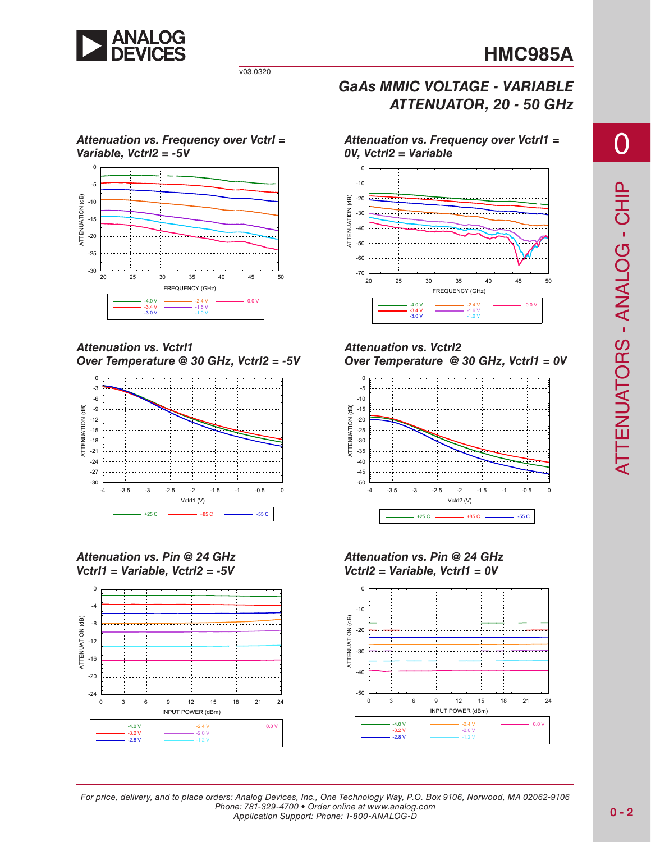

v03.0320

#### *Attenuation vs. Frequency over Vctrl = Variable, Vctrl2 = -5V*



*Attenuation vs. Vctrl1 Over Temperature @ 30 GHz, Vctrl2 = -5V*



*Attenuation vs. Pin @ 24 GHz Vctrl1 = Variable, Vctrl2 = -5V*



*G a A s MMIC VOLTAGE - VARIABLE ATTENUATOR, 20 - 50 GHz*

*Attenuation vs. Frequency over Vctrl1 = 0V, Vctrl2 = Variable*



*Attenuation vs. Vctrl2 Over Temperature @ 30 GHz, Vctrl1 = 0V*



*Attenuation vs. Pin @ 24 GHz Vctrl2 = Variable, Vctrl1 = 0V*

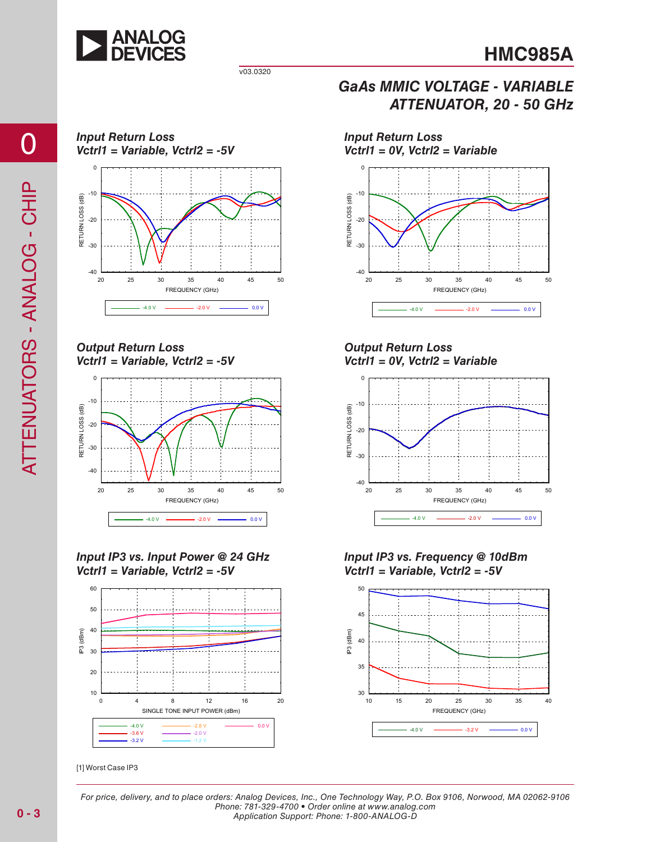



20 25 30 35 40 45 50

FREQUENCY (GHz)

 $-4.0 \text{ V}$   $-2.0 \text{ V}$   $-2.0 \text{ V}$  0.0 V

*Input Return Loss Vctrl1 = Variable, Vctrl2 = -5V*



*Output Return Loss Vctrl1 = Variable, Vctrl2 = -5V*



*Input IP3 vs. Input Power @ 24 GHz Vctrl1 = Variable, Vctrl2 = -5V*



[1] Worst Case IP 3

*Output Return Loss Vctrl1 = 0V, Vctrl2 = Variable*

*Input Return Loss* 

 $-40$   $-20$ 

-30

-20

RETURN LOSS (dB)

RETURN LOSS (dB)

 $-10$ 

*Vctrl1 = 0V, Vctrl2 = Variable*



*Input IP3 vs. Frequency @ 10dBm Vctrl1 = Variable, Vctrl2 = -5V* 

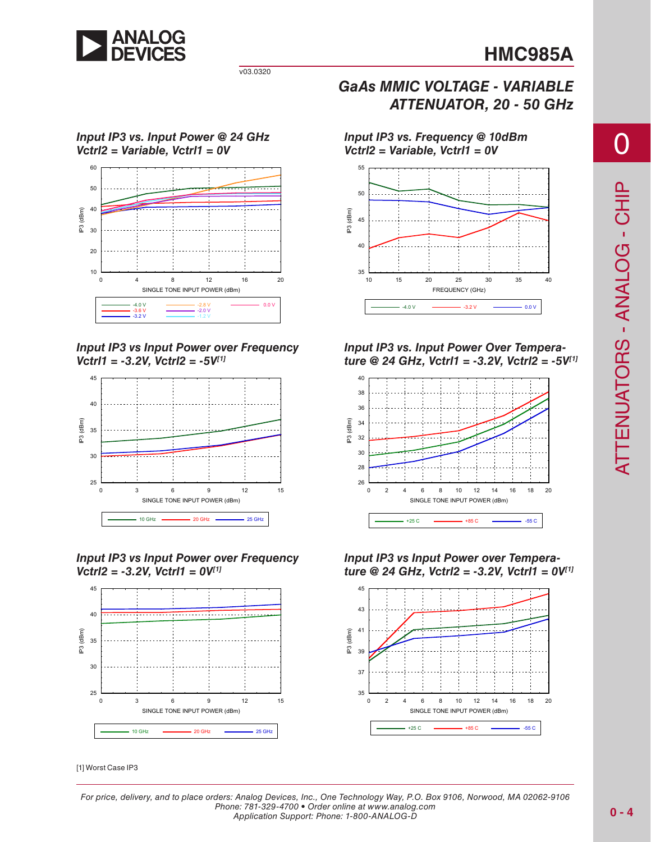

v03.0320

#### *Input IP3 vs. Input Power @ 24 GHz Vctrl2 = Variable, Vctrl1 = 0V*



*Input IP3 vs Input Power over Frequency Vctrl1 = -3.2V, Vctrl2 = -5V[1]*



*Input IP3 vs Input Power over Frequency Vctrl2 = -3.2V, Vctrl1 = 0V[1]*



[1] Worst Case IP 3

*G a A s MMIC VOLTAGE - VARIABLE ATTENUATOR, 20 - 50 GHz*

*Input IP3 vs. Frequency @ 10dBm Vctrl2 = Variable, Vctrl1 = 0V* 



*Input IP3 vs. Input Power Over Temperature @ 24 GHz, Vctrl1 = -3.2V, Vctrl2 = -5V[1]*



*Input IP3 vs Input Power over Tempera ture @ 24 GHz, Vctrl2 = -3.2V, Vctrl1 = 0V[1]* 

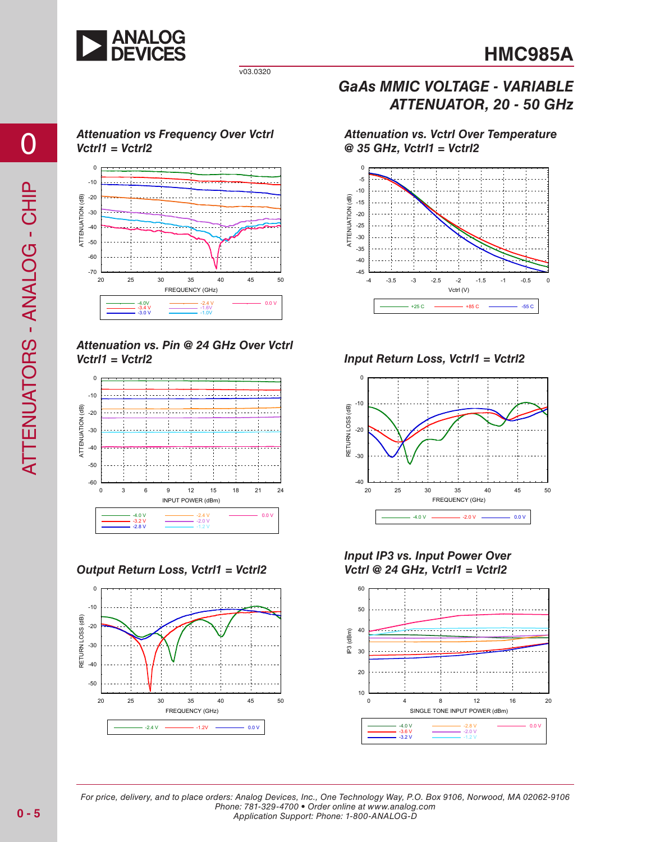

### *Attenuation vs Frequency Over Vctrl Vctrl1 = Vctrl2*



*Attenuation vs. Pin @ 24 GHz Over Vctrl Vctrl1 = Vctrl2 Input Return Loss, Vctrl1 = Vctrl2*



*Output Return Loss, Vctrl1 = Vctrl2*



### *G a A s MMIC VOLTAGE - VARIABLE ATTENUATOR, 20 - 50 GHz*

*Attenuation vs. Vctrl Over Temperature @ 35 GHz, Vctrl1 = Vctrl2*





*Input IP3 vs. Input Power Over Vctrl @ 24 GHz, Vctrl1 = Vctrl2*

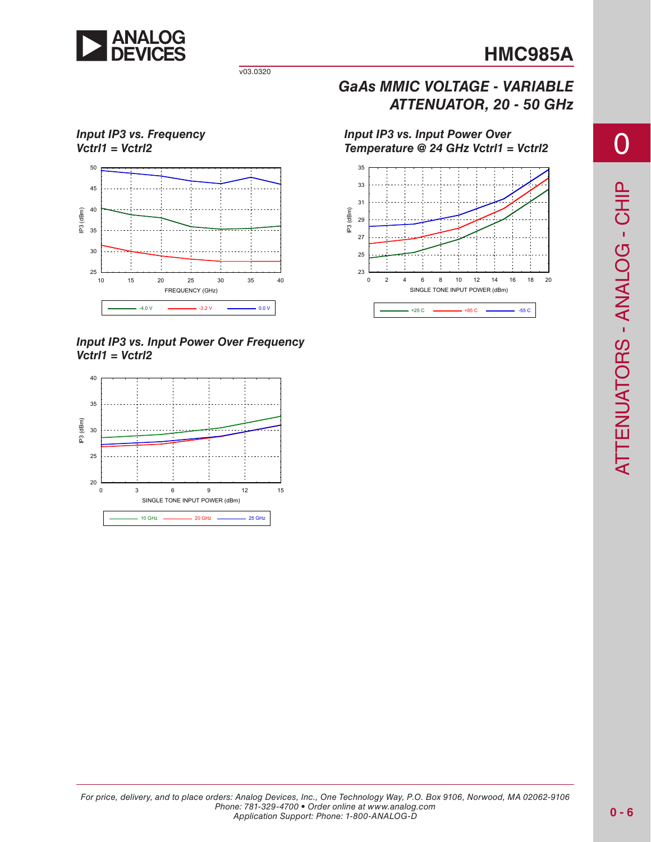

v03.0320

## *Input IP3 vs. Frequency Vctrl1 = Vctrl2*



*Input IP3 vs. Input Power Over Frequency Vctrl1 = Vctrl2*



*Input IP3 vs. Input Power Over* 

*G a A s MMIC VOLTAGE - VARIABLE*

*ATTENUATOR, 20 - 50 GHz*

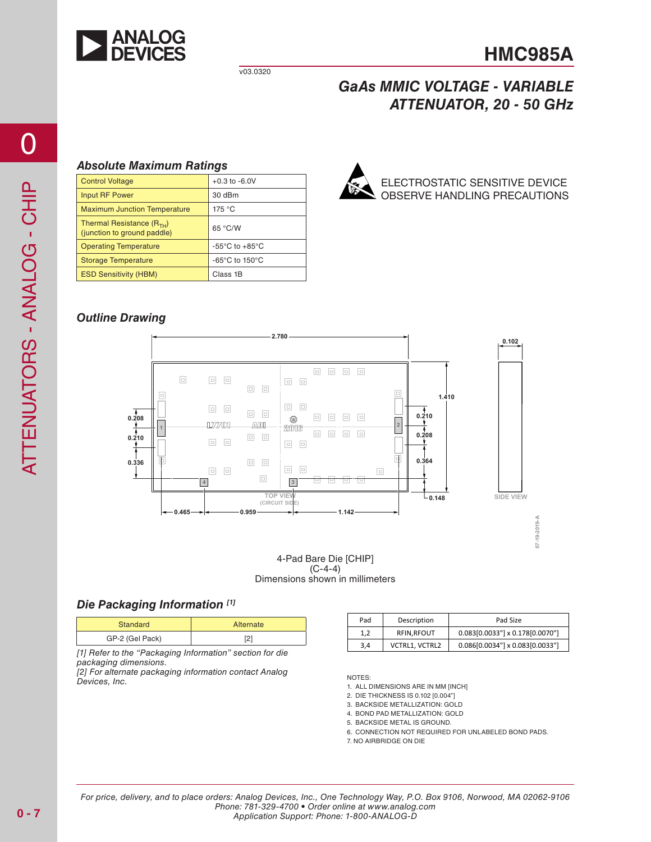

## **HMC985A**

### *G a A s MMIC VOLTAGE - VARIABLE ATTENUATOR, 20 - 50 GHz*

#### *Absolute Maximum Ratings*

| <b>Control Voltage</b>                                       | $+0.3$ to $-6.0V$                                    | Ó, |
|--------------------------------------------------------------|------------------------------------------------------|----|
| Input RF Power                                               | 30 dBm                                               | ß  |
| <b>Maximum Junction Temperature</b>                          | 175 °C                                               |    |
| Thermal Resistance $(R_{TH})$<br>(junction to ground paddle) | 65 °C/W                                              |    |
| <b>Operating Temperature</b>                                 | $-55^{\circ}$ C to $+85^{\circ}$ C                   |    |
| <b>Storage Temperature</b>                                   | -65 $\mathrm{^{\circ}C}$ to 150 $\mathrm{^{\circ}C}$ |    |
| <b>ESD Sensitivity (HBM)</b>                                 | Class 1B                                             |    |
|                                                              |                                                      |    |



ELECTROSTATIC SENSITIVE DEVICE OBSERVE HANDLING PRECA

#### *Outline Drawing*



 $(C-4-4)$ Dimensions shown in millimeters

#### *Die Packaging Information [1]*

| Standard        | Alternate |
|-----------------|-----------|
| GP-2 (Gel Pack) | ∼         |

*[1] Refer to the "Packaging Information" section for die packaging dimensions.*

*[2] For alternate packaging information contact Analog*<br>Devices, Inc.

| Pad | Description       | Pad Size                        |  |
|-----|-------------------|---------------------------------|--|
| 1,2 | <b>RFIN.RFOUT</b> | 0.083[0.0033"] x 0.178[0.0070"] |  |
| 3.4 | VCTRL1, VCTRL2    | 0.086[0.0034"] x 0.083[0.0033"] |  |

NOTES:

1. ALL DIMENSIONS ARE IN MM [INCH]

2. DIE THICKNESS IS 0.102 [0.004"]

3. B ACKSI D E METALLI ZATION: GOL D

4. BOND PAD METALLI ZATION: GOL D

5. B ACKSI D E METAL IS GROUND. 6. CONNECTION NOT REQUIRED FOR UNLABELED BOND PADS.

7. NO AIR BRI DGE ON DIE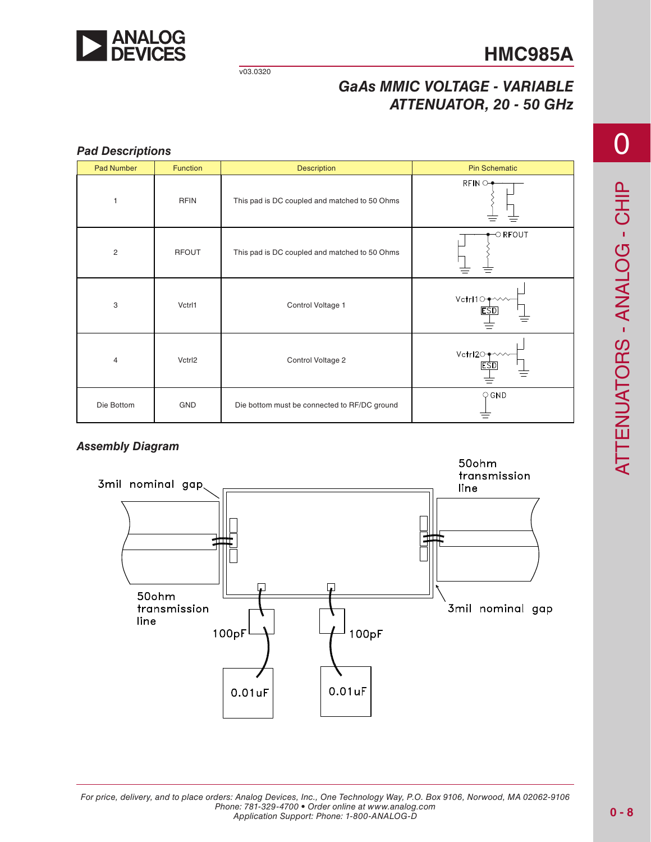

v03.0320

## *G a A s MMIC VOLTAGE - VARIABLE ATTENUATOR, 20 - 50 GHz*

#### *Pad Descriptions* Pad Number | Function | Description Pin Schematic  $RFIN$ 1 **RFIN** This pad is DC coupled and matched to 50 Ohms  $\circ$  RFOUT 2 RFO This pad is DC coupled and matched to 50 Ohms Vctrl10+ 3 Vctrl1 Vctrl1 Control Voltage 1 **ESD** Vctrl2O-4 Vctrl2 Control Voltage 2 **ESD** ≐  $\bigcirc$  GND Die Bottom | GND D **Die bottom must be connected to RF/DC ground** ≡

#### *Assembly Diagram*

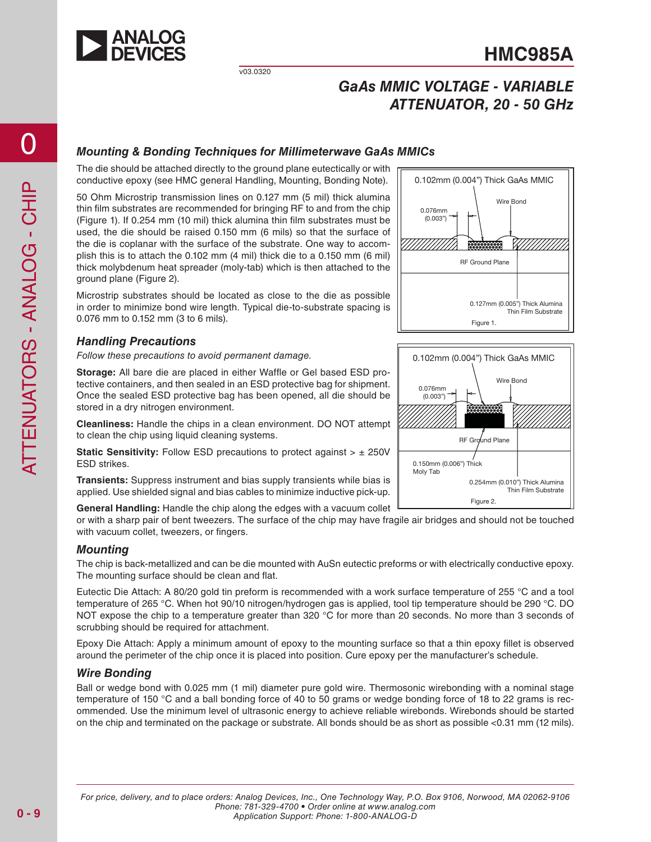

## *G a A s MMIC VOLTAGE - VARIABLE ATTENUATOR, 20 - 50 GHz*

#### *Mounting & Bonding Techniques for Millimeterwave GaAs MMICs*

The die should be attached directly to the ground plane eutectically or with conductive epoxy (see HMC general Handling, Mounting, Bonding Note).

50 Ohm Microstrip transmission lines on 0.127 mm (5 mil) thick alumina thin film substrates are recommended for bringing RF to and from the chip (Figure 1). If 0.254 mm (10 mil) thick alumina thin film substrates must be used, the die should be raised 0.150 mm (6 mils) so that the surface of the die is coplanar with the surface of the substrate. One way to accom plish this is to attach the 0.102 mm (4 mil) thick die to a 0.150 mm (6 mil) thick molybdenum heat spreader (moly-tab) which is then attached to the ground plane (Figure 2).

Microstrip substrates should be located as close to the die as possible in order to minimize bond wire length. Typical die-to-substrate spacing is 0.076 mm to 0.152 mm (3 to 6 mils).

#### *Handling Precautions*

*Follow these precautions to avoid permanent damage.*

Storage: All bare die are placed in either Waffle or Gel based ESD protective containers, and then sealed in an ESD protective bag for shipment. Once the sealed ESD protective bag has been opened, all die should be stored in a dry nitrogen environment.

**Cleanliness:**  Handle the chips in a clean environment. D O NOT attempt to clean the chip using liquid cleaning systems.

**Static Sensitivity:** Follow ESD precautions to protect against >  $\pm$  250V ESD strikes.

**Transients:**  Suppress instrument and bias supply transients while bias is applied. Use shielded signal and bias cables to minimize inductive pick-up.

General Handling: Handle the chip along the edges with a vacuum collet

or with a sharp pair of bent tweezers. The surface of the chip may have fragile air bridges and should not be touched with vacuum collet, tweezers, or fingers.

#### *Mounting*

The chip is back-metallized and can be die mounted with AuSn eutectic preforms or with electrically conductive epoxy. The mounting surface should be clean and flat.

Eutectic Die Attach: A 80/20 gold tin preform is recommended with a work surface temperature of 255 °C and a tool temperature of 265 °C. When hot 90/10 nitrogen/hydrogen gas is applied, tool tip temperature should be 290 °C. D O NOT expose the chip to a temperature greater than 320 °C for more than 20 seconds. No more than 3 seconds of scrubbing should be required for attachment.

Epoxy Die Attach: Apply a minimum amount of epoxy to the mounting surface so that a thin epoxy fillet is observed around the perimeter of the chip once it is placed into position. Cure epoxy per the manufacturer's schedule.

#### *Wire Bonding*

Ball or wedge bond with 0.025 mm (1 mil) diameter pure gold wire. Thermosonic wirebonding with a nominal stage temperature of 150 °C and a ball bonding force of 40 to 50 grams or wedge bonding force of 18 to 22 grams is rec ommended. Use the minimum level of ultrasonic energy to achieve reliable wirebonds. Wirebonds should be started on the chip and terminated on the package or substrate. All bonds should be as short as possible <0.31 mm (12 mils).